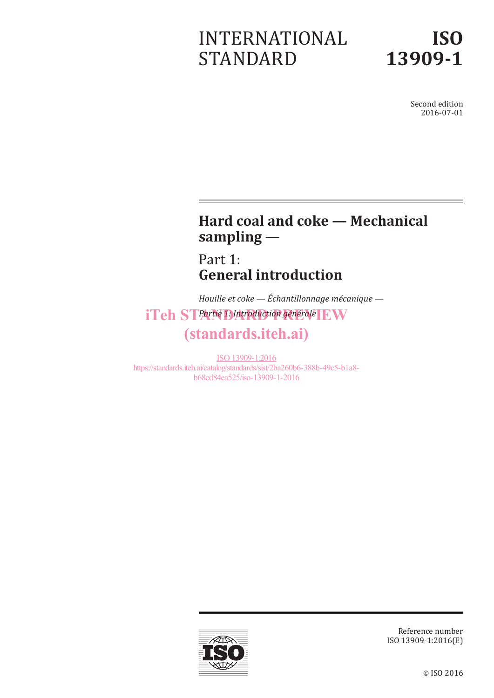# INTERNATIONAL STANDARD

Second edition 2016-07-01

### **Hard coal and coke — Mechanical sampling —**

Part 1: **General introduction**

*Houille et coke — Échantillonnage mécanique iTeh STPartie 1: Introduction générale EW* (standards.iteh.ai)

ISO 13909-1:2016 https://standards.iteh.ai/catalog/standards/sist/2ba260b6-388b-49c5-b1a8 b68cd84ea525/iso-13909-1-2016



Reference number ISO 13909-1:2016(E)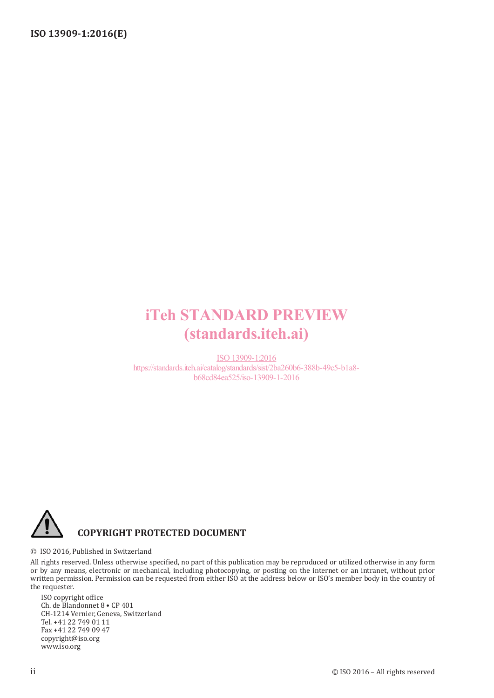### iTeh STANDARD PREVIEW (standards.iteh.ai)

ISO 13909-1:2016 https://standards.iteh.ai/catalog/standards/sist/2ba260b6-388b-49c5-b1a8 b68cd84ea525/iso-13909-1-2016



### © ISO 2016, Published in Switzerland

All rights reserved. Unless otherwise specified, no part of this publication may be reproduced or utilized otherwise in any form or by any means, electronic or mechanical, including photocopying, or posting on the internet or an intranet, without prior written permission. Permission can be requested from either ISO at the address below or ISO's member body in the country of the requester.

ISO copyright office Ch. de Blandonnet 8 • CP 401 CH-1214 Vernier, Geneva, Switzerland Tel. +41 22 749 01 11 Fax +41 22 749 09 47 copyright@iso.org www.iso.org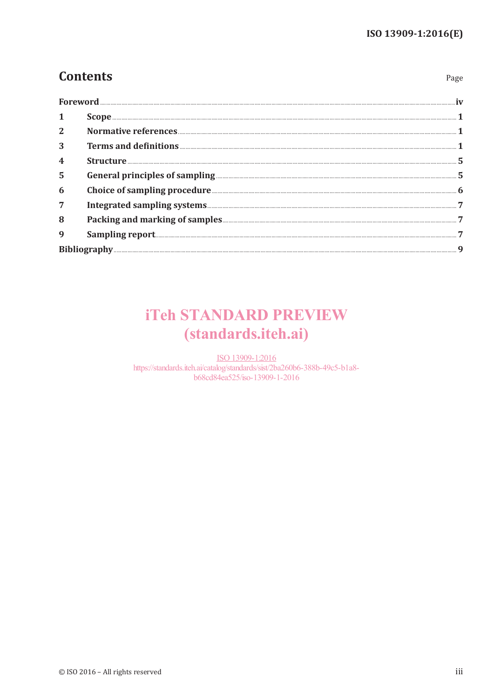Page

### **Contents**

|                | $\textbf{Scope} \textit{} \textit{} \textit{} \textit{} \textit{} \textit{} \textit{} \textit{} \textit{} \textit{} \textit{} \textit{} \textit{} \textit{} \textit{} \textit{} \textit{} \textit{} \textit{} \textit{} \textit{} \textit{} \textit{} \textit{} \textit{} \textit{} \textit{} \textit{} \textit{} \textit{} \textit{} \textit{} \textit{} \textit{} \textit{} \textit{$ |  |
|----------------|-----------------------------------------------------------------------------------------------------------------------------------------------------------------------------------------------------------------------------------------------------------------------------------------------------------------------------------------------------------------------------------------|--|
| $\overline{2}$ |                                                                                                                                                                                                                                                                                                                                                                                         |  |
| 3              |                                                                                                                                                                                                                                                                                                                                                                                         |  |
| 4              | Structure 55 million by the contract of the contract of the contract of the contract of the contract of the contract of the contract of the contract of the contract of the contract of the contract of the contract of the co                                                                                                                                                          |  |
| 5              | General principles of sampling <b>Election Contract Contract Principles</b> of sampling                                                                                                                                                                                                                                                                                                 |  |
| 6              |                                                                                                                                                                                                                                                                                                                                                                                         |  |
| $\overline{7}$ |                                                                                                                                                                                                                                                                                                                                                                                         |  |
| 8              | Packing and marking of samples                                                                                                                                                                                                                                                                                                                                                          |  |
| 9              |                                                                                                                                                                                                                                                                                                                                                                                         |  |
|                |                                                                                                                                                                                                                                                                                                                                                                                         |  |

## **iTeh STANDARD PREVIEW** (standards.iteh.ai)

ISO 13909-1:2016 https://standards.iteh.ai/catalog/standards/sist/2ba260b6-388b-49c5-b1a8b68cd84ea525/iso-13909-1-2016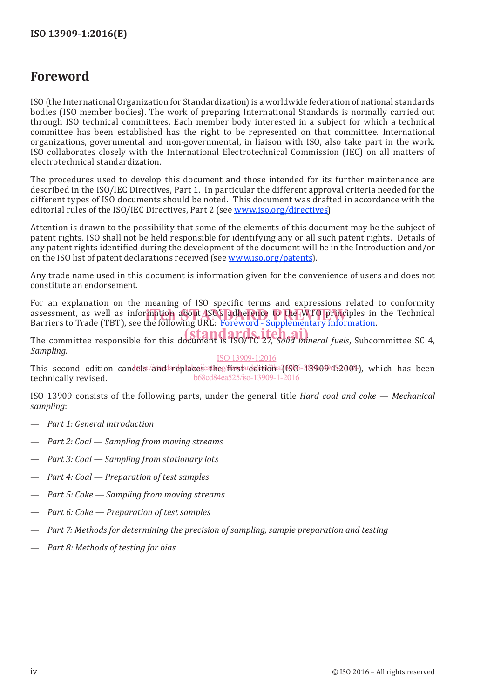### **Foreword**

ISO (the International Organization for Standardization) is a worldwide federation of national standards bodies (ISO member bodies). The work of preparing International Standards is normally carried out through ISO technical committees. Each member body interested in a subject for which a technical committee has been established has the right to be represented on that committee. International organizations, governmental and non-governmental, in liaison with ISO, also take part in the work. ISO collaborates closely with the International Electrotechnical Commission (IEC) on all matters of electrotechnical standardization.

The procedures used to develop this document and those intended for its further maintenance are described in the ISO/IEC Directives, Part 1. In particular the different approval criteria needed for the different types of ISO documents should be noted. This document was drafted in accordance with the editorial rules of the ISO/IEC Directives, Part 2 (see www.iso.org/directives).

Attention is drawn to the possibility that some of the elements of this document may be the subject of patent rights. ISO shall not be held responsible for identifying any or all such patent rights. Details of any patent rights identified during the development of the document will be in the Introduction and/or on the ISO list of patent declarations received (see www.iso.org/patents).

Any trade name used in this document is information given for the convenience of users and does not constitute an endorsement.

For an explanation on the meaning of ISO specific terms and expressions related to conformity assessment, as well as information about ISO's adherence to the WTO principles in the Technical<br>Barriers to Trade (TBT), see the following URL: Foreword - Supplementary information Barriers to Trade (TBT), see the following URL: Foreword - Supplementary information.

The committee responsible for this document is ISO/TC 27, *Solid mineral fuels*, Subcommittee SC 4, *Sampling*.

### ISO 13909-1:2016

This second edition cancels /and replaces the first redition (ISO-13909-1:2001), which has been technically revised. b68cd84ea525/iso-13909-1-2016

ISO 13909 consists of the following parts, under the general title *Hard coal and coke — Mechanical sampling*:

- *Part 1: General introduction*
- *Part 2: Coal Sampling from moving streams*
- *Part 3: Coal Sampling from stationary lots*
- *Part 4: Coal Preparation of test samples*
- *Part 5: Coke Sampling from moving streams*
- *Part 6: Coke Preparation of test samples*
- *Part 7: Methods for determining the precision of sampling, sample preparation and testing*
- *Part 8: Methods of testing for bias*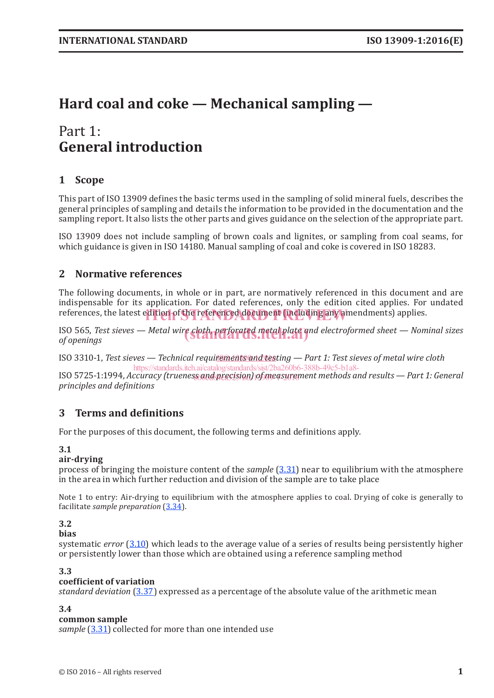### **Hard coal and coke — Mechanical sampling —**

### Part 1: **General introduction**

### **1 Scope**

This part of ISO 13909 defines the basic terms used in the sampling of solid mineral fuels, describes the general principles of sampling and details the information to be provided in the documentation and the sampling report. It also lists the other parts and gives guidance on the selection of the appropriate part.

ISO 13909 does not include sampling of brown coals and lignites, or sampling from coal seams, for which guidance is given in ISO 14180. Manual sampling of coal and coke is covered in ISO 18283.

### **2 Normative references**

The following documents, in whole or in part, are normatively referenced in this document and are indispensable for its application. For dated references, only the edition cited applies. For undated references, the latest edition of the referenced document (including any amendments) applies.

ISO 565, *Test sieves* — Metal wire cloth, perforated metal plate and electroformed sheet — Nominal sizes *of openinas of openings*

ISO 3310-1, *Test sieves* — Technical requi<u>rements and tes</u>ting — Part 1: Test sieves of metal wire cloth https://standards.iteh.ai/catalog/standards/sist/2ba260b6-388b-49c5-b1a8-

ISO 5725-1:1994, Accuracy (trueness and precision) of measurement methods and results — Part 1: General *principles and definitions*

### **3 Terms and definitions**

For the purposes of this document, the following terms and definitions apply.

### **3.1**

### **air-drying**

process of bringing the moisture content of the *sample* (3.31) near to equilibrium with the atmosphere in the area in which further reduction and division of the sample are to take place

Note 1 to entry: Air-drying to equilibrium with the atmosphere applies to coal. Drying of coke is generally to facilitate *sample preparation* (3.34).

### **3.2**

**bias**

systematic *error* (3.10) which leads to the average value of a series of results being persistently higher or persistently lower than those which are obtained using a reference sampling method

### **3.3**

### **coefficient of variation**

*standard deviation* (3.37) expressed as a percentage of the absolute value of the arithmetic mean

### **3.4**

### **common sample**

*sample* (3.31) collected for more than one intended use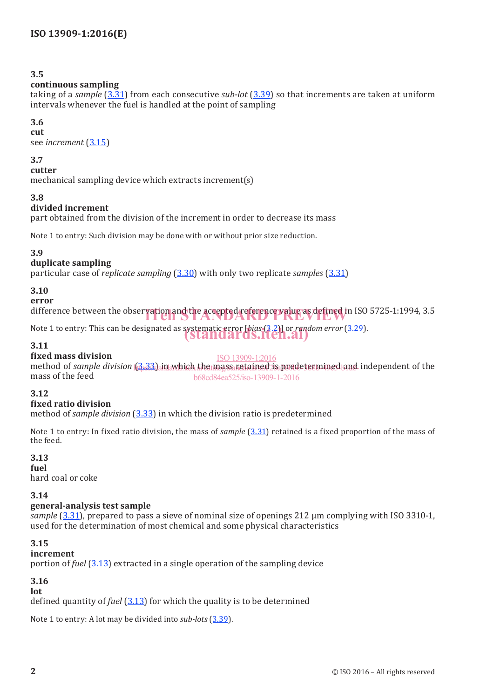### **continuous sampling**

taking of a *sample* (3.31) from each consecutive *sub-lot* (3.39) so that increments are taken at uniform intervals whenever the fuel is handled at the point of sampling

### **3.6**

**cut** see *increment* (3.15)

### **3.7**

**cutter**

mechanical sampling device which extracts increment(s)

### **3.8**

### **divided increment**

part obtained from the division of the increment in order to decrease its mass

Note 1 to entry: Such division may be done with or without prior size reduction.

### **3.9**

### **duplicate sampling**

particular case of *replicate sampling* (3.30) with only two replicate *samples* (3.31)

### **3.10**

**error**

difference between the observation and the accepted reference value as defined in ISO 5725-1:1994, 3.5

Note 1 to entry: This can be designated as systematic error *[bias (3.2)*] or *random error (3.29)*.

### **3.11**

### **fixed mass division**

ISO 13909-1:2016

method of *sample division* (3.33) in which the mass retained is predetermined and independent of the mass of the feed b68cd84ea525/iso-13909-1-2016

### **3.12**

### **fixed ratio division**

method of *sample division* (3.33) in which the division ratio is predetermined

Note 1 to entry: In fixed ratio division, the mass of *sample* (3.31) retained is a fixed proportion of the mass of the feed.

### **3.13**

**fuel**

hard coal or coke

### **3.14**

### **general-analysis test sample**

*sample* (3.31), prepared to pass a sieve of nominal size of openings 212 µm complying with ISO 3310-1, used for the determination of most chemical and some physical characteristics

### **3.15**

### **increment**

portion of *fuel* (3.13) extracted in a single operation of the sampling device

### **3.16**

**lot**

defined quantity of *fuel* (3.13) for which the quality is to be determined

Note 1 to entry: A lot may be divided into *sub-lots* (3.39).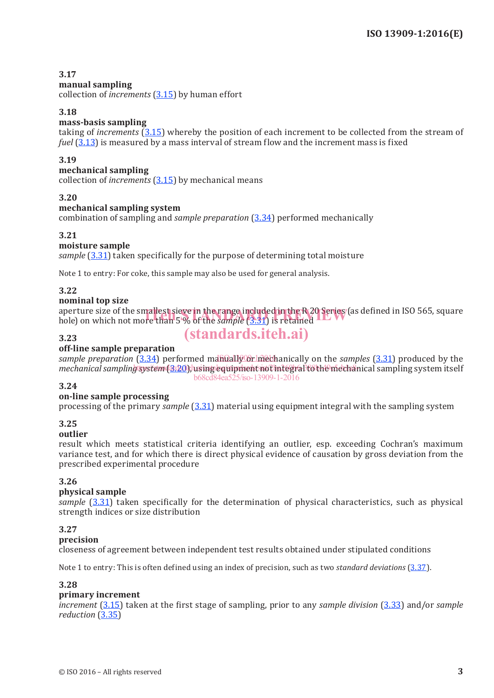### **manual sampling**

collection of *increments* (3.15) by human effort

### **3.18**

### **mass-basis sampling**

taking of *increments* (3.15) whereby the position of each increment to be collected from the stream of *fuel* (3.13) is measured by a mass interval of stream flow and the increment mass is fixed

### **3.19**

### **mechanical sampling**

collection of *increments* (3.15) by mechanical means

### **3.20**

### **mechanical sampling system**

combination of sampling and *sample preparation* (3.34) performed mechanically

### **3.21**

### **moisture sample**

*sample* (3.31) taken specifically for the purpose of determining total moisture

Note 1 to entry: For coke, this sample may also be used for general analysis.

### **3.22**

### **nominal top size**

aperture size of the smallest sieve in the range included in the R 20 Series (as defined in ISO 565, square aperture size of the smallest sieve in the range included in the R 20 Series (as<br>hole) on which not more than 5 % of the *sample* (3.31) is retained

### **3.23**

### (standards.iteh.ai)

### **off-line sample preparation**

sample preparation (3.34) performed manually or mechanically on the *samples* (3.31) produced by the *mechanical sampling system* (3:20), using equipment not integral to the mechanical sampling system itself b68cd84ea525/iso-13909-1-2016

### **3.24**

### **on-line sample processing**

processing of the primary *sample* (3.31) material using equipment integral with the sampling system

### **3.25**

### **outlier**

result which meets statistical criteria identifying an outlier, esp. exceeding Cochran's maximum variance test, and for which there is direct physical evidence of causation by gross deviation from the prescribed experimental procedure

### **3.26**

### **physical sample**

*sample* (3.31) taken specifically for the determination of physical characteristics, such as physical strength indices or size distribution

### **3.27**

**precision**

closeness of agreement between independent test results obtained under stipulated conditions

Note 1 to entry: This is often defined using an index of precision, such as two *standard deviations* (3.37).

### **3.28**

### **primary increment**

*increment* (3.15) taken at the first stage of sampling, prior to any *sample division* (3.33) and/or *sample reduction* (3.35)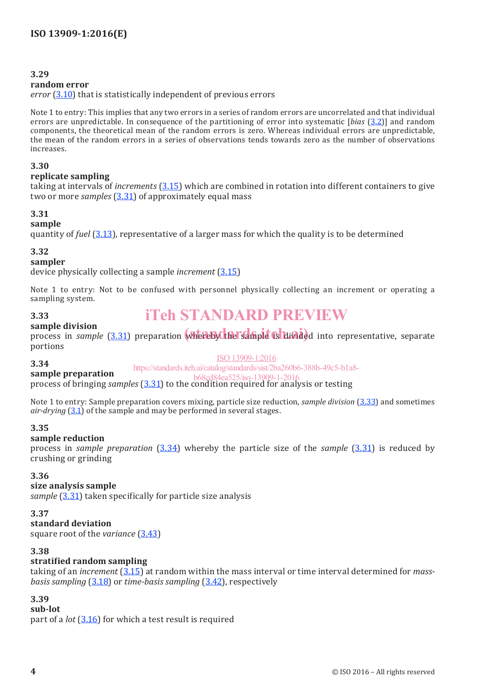### **random error**

*error* (3.10) that is statistically independent of previous errors

Note 1 to entry: This implies that any two errors in a series of random errors are uncorrelated and that individual errors are unpredictable. In consequence of the partitioning of error into systematic [*bias* (3.2)] and random components, the theoretical mean of the random errors is zero. Whereas individual errors are unpredictable, the mean of the random errors in a series of observations tends towards zero as the number of observations increases.

### **3.30**

### **replicate sampling**

taking at intervals of *increments* (3.15) which are combined in rotation into different containers to give two or more *samples* (3.31) of approximately equal mass

### **3.31**

### **sample**

quantity of *fuel* (3.13), representative of a larger mass for which the quality is to be determined

### **3.32**

### **sampler**

device physically collecting a sample *increment* (3.15)

Note 1 to entry: Not to be confused with personnel physically collecting an increment or operating a sampling system.

### **3.33**

### iTeh STANDARD PREVIEW

### **sample division**

ISO 13909-1:2016 https://standards.iteh.ai/catalog/standards/sist/2ba260b6-388b-49c5-b1a8-

sampie **aivision**<br>process in *sample* (3.31) preparation **(whereby the sample is divide**d into representative, separate portions

### **3.34**

**sample preparation**

process of bringing *samples* (3.31) to the condition required for analysis or testing b68cd84ea525/iso-13909-1-2016

Note 1 to entry: Sample preparation covers mixing, particle size reduction, *sample division* (3.33) and sometimes *air-drying* (3.1) of the sample and may be performed in several stages.

### **3.35**

### **sample reduction**

process in *sample preparation* (3.34) whereby the particle size of the *sample* (3.31) is reduced by crushing or grinding

### **3.36**

### **size analysis sample**

*sample* (3.31) taken specifically for particle size analysis

### **3.37**

### **standard deviation**

square root of the *variance* (3.43)

### **3.38**

### **stratified random sampling**

taking of an *increment* (3.15) at random within the mass interval or time interval determined for *massbasis sampling* (3.18) or *time-basis sampling* (3.42), respectively

### **3.39**

### **sub-lot**

part of a *lot* (3.16) for which a test result is required